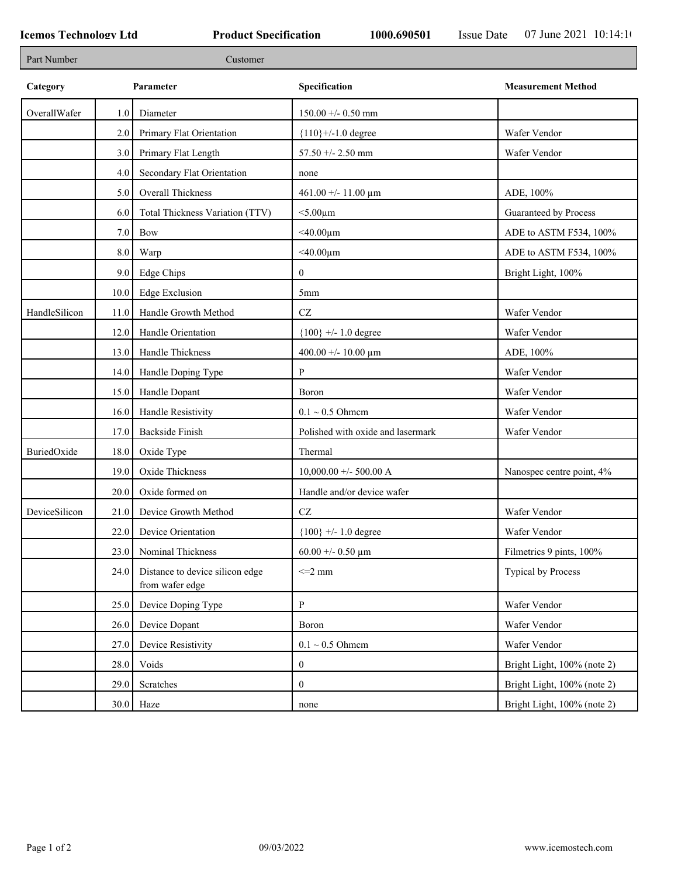| Part Number   |      | Customer                                           |                                   |                             |
|---------------|------|----------------------------------------------------|-----------------------------------|-----------------------------|
| Category      |      | Parameter                                          | Specification                     | <b>Measurement Method</b>   |
| OverallWafer  | 1.0  | Diameter                                           | $150.00 + - 0.50$ mm              |                             |
|               | 2.0  | Primary Flat Orientation                           | ${110}$ +/-1.0 degree             | Wafer Vendor                |
|               | 3.0  | Primary Flat Length                                | $57.50 + - 2.50$ mm               | Wafer Vendor                |
|               | 4.0  | Secondary Flat Orientation                         | none                              |                             |
|               | 5.0  | Overall Thickness                                  | $461.00 + - 11.00 \text{ µm}$     | ADE, 100%                   |
|               | 6.0  | Total Thickness Variation (TTV)                    | $<$ 5.00 $\mu$ m                  | Guaranteed by Process       |
|               | 7.0  | Bow                                                | $<$ 40.00 $\mu$ m                 | ADE to ASTM F534, 100%      |
|               | 8.0  | Warp                                               | $<$ 40.00μm                       | ADE to ASTM F534, 100%      |
|               | 9.0  | Edge Chips                                         | $\overline{0}$                    | Bright Light, 100%          |
|               | 10.0 | <b>Edge Exclusion</b>                              | 5 <sub>mm</sub>                   |                             |
| HandleSilicon | 11.0 | Handle Growth Method                               | CZ                                | Wafer Vendor                |
|               | 12.0 | Handle Orientation                                 | ${100}$ +/- 1.0 degree            | Wafer Vendor                |
|               | 13.0 | Handle Thickness                                   | 400.00 +/- 10.00 $\mu$ m          | ADE, 100%                   |
|               | 14.0 | Handle Doping Type                                 | P                                 | Wafer Vendor                |
|               | 15.0 | Handle Dopant                                      | Boron                             | Wafer Vendor                |
|               | 16.0 | Handle Resistivity                                 | $0.1 \sim 0.5$ Ohmem              | Wafer Vendor                |
|               | 17.0 | <b>Backside Finish</b>                             | Polished with oxide and lasermark | Wafer Vendor                |
| BuriedOxide   | 18.0 | Oxide Type                                         | Thermal                           |                             |
|               | 19.0 | Oxide Thickness                                    | $10,000.00 +/- 500.00 A$          | Nanospec centre point, 4%   |
|               | 20.0 | Oxide formed on                                    | Handle and/or device wafer        |                             |
| DeviceSilicon | 21.0 | Device Growth Method                               | CZ                                | Wafer Vendor                |
|               | 22.0 | Device Orientation                                 | ${100}$ +/- 1.0 degree            | Wafer Vendor                |
|               | 23.0 | Nominal Thickness                                  | 60.00 +/- 0.50 $\mu$ m            | Filmetrics 9 pints, 100%    |
|               | 24.0 | Distance to device silicon edge<br>from wafer edge | $\leq$ 2 mm                       | <b>Typical by Process</b>   |
|               | 25.0 | Device Doping Type                                 | P                                 | Wafer Vendor                |
|               | 26.0 | Device Dopant                                      | Boron                             | Wafer Vendor                |
|               | 27.0 | Device Resistivity                                 | $0.1 \sim 0.5$ Ohmem              | Wafer Vendor                |
|               | 28.0 | Voids                                              | $\mathbf{0}$                      | Bright Light, 100% (note 2) |
|               | 29.0 | Scratches                                          | $\boldsymbol{0}$                  | Bright Light, 100% (note 2) |
|               |      | $30.0$ Haze                                        | none                              | Bright Light, 100% (note 2) |